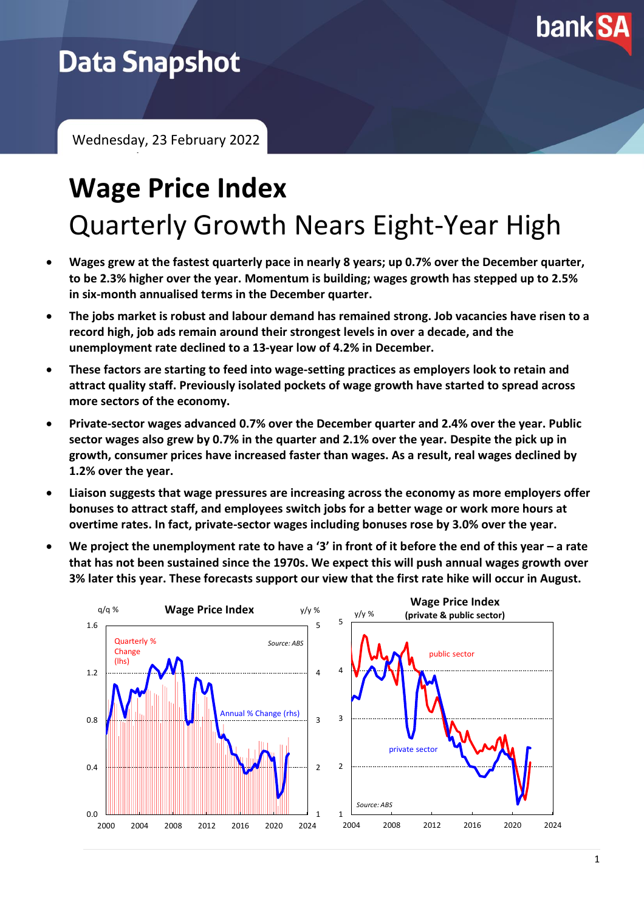

## **Data Snapshot**

Wednesday, 23 February 2022 February 2021

# **Wage Price Index** Quarterly Growth Nears Eight-Year High

- **Wages grew at the fastest quarterly pace in nearly 8 years; up 0.7% over the December quarter, to be 2.3% higher over the year. Momentum is building; wages growth has stepped up to 2.5% in six-month annualised terms in the December quarter.**
- **The jobs market is robust and labour demand has remained strong. Job vacancies have risen to a record high, job ads remain around their strongest levels in over a decade, and the unemployment rate declined to a 13-year low of 4.2% in December.**
- **These factors are starting to feed into wage-setting practices as employers look to retain and attract quality staff. Previously isolated pockets of wage growth have started to spread across more sectors of the economy.**
- **Private-sector wages advanced 0.7% over the December quarter and 2.4% over the year. Public sector wages also grew by 0.7% in the quarter and 2.1% over the year. Despite the pick up in growth, consumer prices have increased faster than wages. As a result, real wages declined by 1.2% over the year.**
- **Liaison suggests that wage pressures are increasing across the economy as more employers offer bonuses to attract staff, and employees switch jobs for a better wage or work more hours at overtime rates. In fact, private-sector wages including bonuses rose by 3.0% over the year.**
- **We project the unemployment rate to have a '3' in front of it before the end of this year – a rate that has not been sustained since the 1970s. We expect this will push annual wages growth over 3% later this year. These forecasts support our view that the first rate hike will occur in August.**

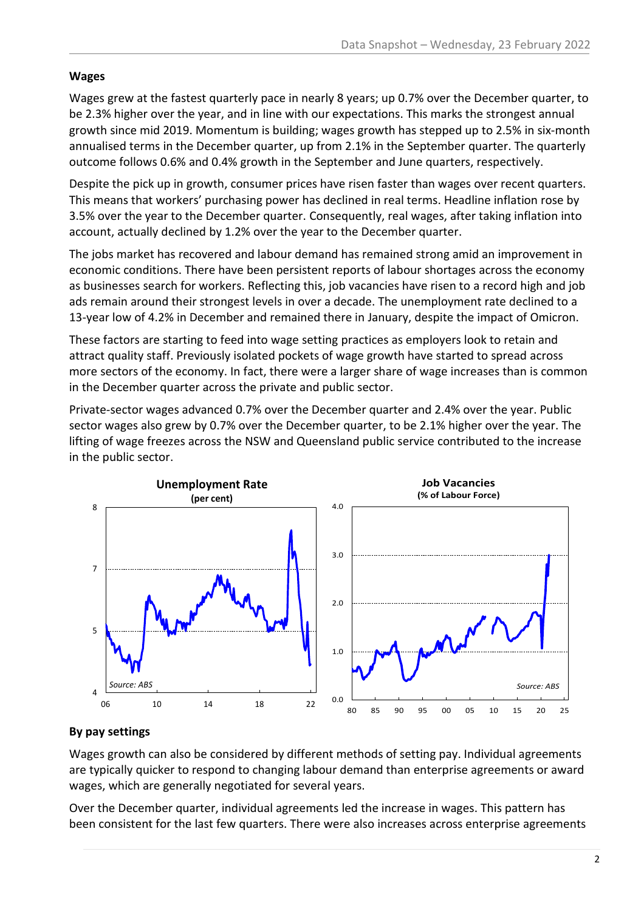#### **Wages**

Wages grew at the fastest quarterly pace in nearly 8 years; up 0.7% over the December quarter, to be 2.3% higher over the year, and in line with our expectations. This marks the strongest annual growth since mid 2019. Momentum is building; wages growth has stepped up to 2.5% in six-month annualised terms in the December quarter, up from 2.1% in the September quarter. The quarterly outcome follows 0.6% and 0.4% growth in the September and June quarters, respectively.

Despite the pick up in growth, consumer prices have risen faster than wages over recent quarters. This means that workers' purchasing power has declined in real terms. Headline inflation rose by 3.5% over the year to the December quarter. Consequently, real wages, after taking inflation into account, actually declined by 1.2% over the year to the December quarter.

The jobs market has recovered and labour demand has remained strong amid an improvement in economic conditions. There have been persistent reports of labour shortages across the economy as businesses search for workers. Reflecting this, job vacancies have risen to a record high and job ads remain around their strongest levels in over a decade. The unemployment rate declined to a 13-year low of 4.2% in December and remained there in January, despite the impact of Omicron.

These factors are starting to feed into wage setting practices as employers look to retain and attract quality staff. Previously isolated pockets of wage growth have started to spread across more sectors of the economy. In fact, there were a larger share of wage increases than is common in the December quarter across the private and public sector.

Private-sector wages advanced 0.7% over the December quarter and 2.4% over the year. Public sector wages also grew by 0.7% over the December quarter, to be 2.1% higher over the year. The lifting of wage freezes across the NSW and Queensland public service contributed to the increase in the public sector.



#### **By pay settings**

Wages growth can also be considered by different methods of setting pay. Individual agreements are typically quicker to respond to changing labour demand than enterprise agreements or award wages, which are generally negotiated for several years.

Over the December quarter, individual agreements led the increase in wages. This pattern has been consistent for the last few quarters. There were also increases across enterprise agreements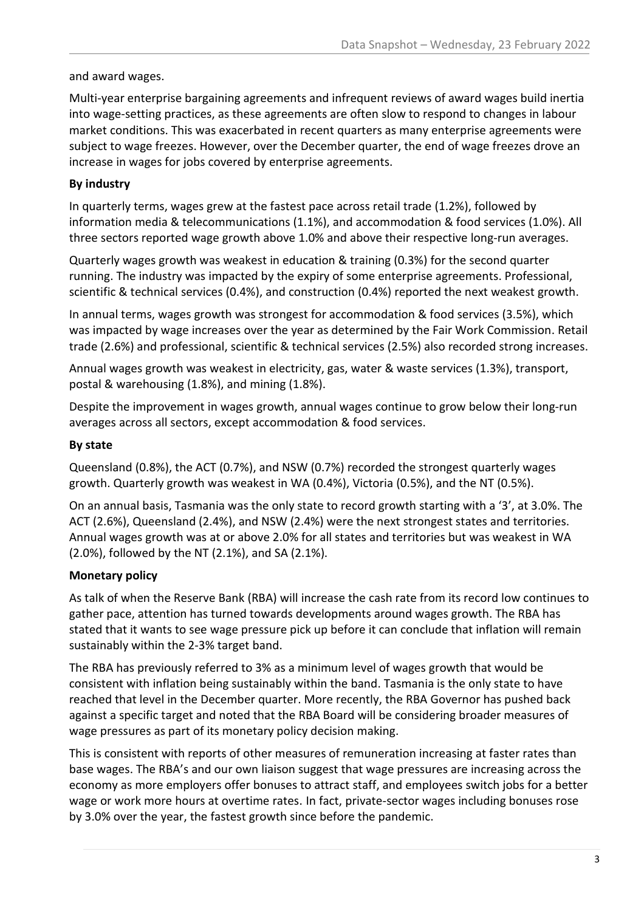#### and award wages.

Multi-year enterprise bargaining agreements and infrequent reviews of award wages build inertia into wage-setting practices, as these agreements are often slow to respond to changes in labour market conditions. This was exacerbated in recent quarters as many enterprise agreements were subject to wage freezes. However, over the December quarter, the end of wage freezes drove an increase in wages for jobs covered by enterprise agreements.

### **By industry**

In quarterly terms, wages grew at the fastest pace across retail trade (1.2%), followed by information media & telecommunications (1.1%), and accommodation & food services (1.0%). All three sectors reported wage growth above 1.0% and above their respective long-run averages.

Quarterly wages growth was weakest in education & training (0.3%) for the second quarter running. The industry was impacted by the expiry of some enterprise agreements. Professional, scientific & technical services (0.4%), and construction (0.4%) reported the next weakest growth.

In annual terms, wages growth was strongest for accommodation & food services (3.5%), which was impacted by wage increases over the year as determined by the Fair Work Commission. Retail trade (2.6%) and professional, scientific & technical services (2.5%) also recorded strong increases.

Annual wages growth was weakest in electricity, gas, water & waste services (1.3%), transport, postal & warehousing (1.8%), and mining (1.8%).

Despite the improvement in wages growth, annual wages continue to grow below their long-run averages across all sectors, except accommodation & food services.

#### **By state**

Queensland (0.8%), the ACT (0.7%), and NSW (0.7%) recorded the strongest quarterly wages growth. Quarterly growth was weakest in WA (0.4%), Victoria (0.5%), and the NT (0.5%).

On an annual basis, Tasmania was the only state to record growth starting with a '3', at 3.0%. The ACT (2.6%), Queensland (2.4%), and NSW (2.4%) were the next strongest states and territories. Annual wages growth was at or above 2.0% for all states and territories but was weakest in WA (2.0%), followed by the NT (2.1%), and SA (2.1%).

#### **Monetary policy**

As talk of when the Reserve Bank (RBA) will increase the cash rate from its record low continues to gather pace, attention has turned towards developments around wages growth. The RBA has stated that it wants to see wage pressure pick up before it can conclude that inflation will remain sustainably within the 2-3% target band.

The RBA has previously referred to 3% as a minimum level of wages growth that would be consistent with inflation being sustainably within the band. Tasmania is the only state to have reached that level in the December quarter. More recently, the RBA Governor has pushed back against a specific target and noted that the RBA Board will be considering broader measures of wage pressures as part of its monetary policy decision making.

This is consistent with reports of other measures of remuneration increasing at faster rates than base wages. The RBA's and our own liaison suggest that wage pressures are increasing across the economy as more employers offer bonuses to attract staff, and employees switch jobs for a better wage or work more hours at overtime rates. In fact, private-sector wages including bonuses rose by 3.0% over the year, the fastest growth since before the pandemic.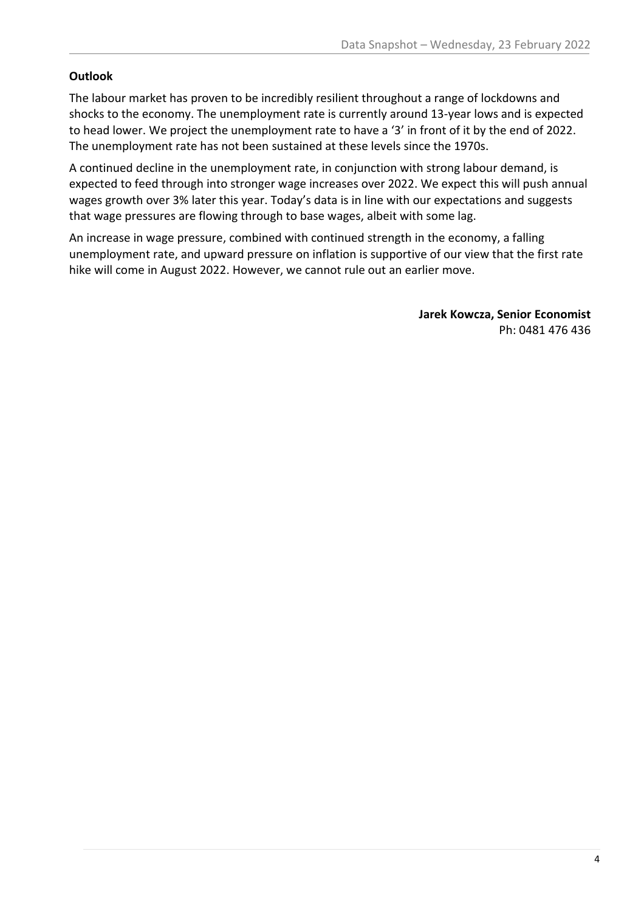#### **Outlook**

The labour market has proven to be incredibly resilient throughout a range of lockdowns and shocks to the economy. The unemployment rate is currently around 13-year lows and is expected to head lower. We project the unemployment rate to have a '3' in front of it by the end of 2022. The unemployment rate has not been sustained at these levels since the 1970s.

A continued decline in the unemployment rate, in conjunction with strong labour demand, is expected to feed through into stronger wage increases over 2022. We expect this will push annual wages growth over 3% later this year. Today's data is in line with our expectations and suggests that wage pressures are flowing through to base wages, albeit with some lag.

An increase in wage pressure, combined with continued strength in the economy, a falling unemployment rate, and upward pressure on inflation is supportive of our view that the first rate hike will come in August 2022. However, we cannot rule out an earlier move.

> **Jarek Kowcza, Senior Economist** Ph: 0481 476 436